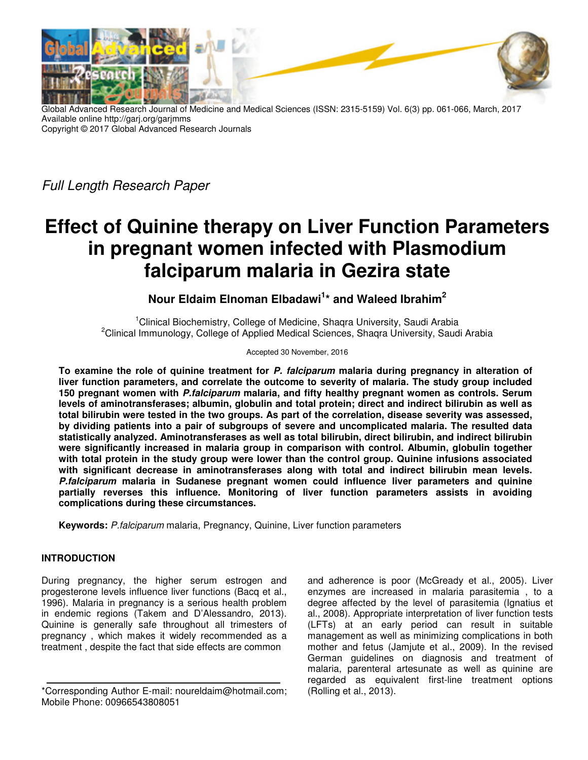

Global Advanced Research Journal of Medicine and Medical Sciences (ISSN: 2315-5159) Vol. 6(3) pp. 061-066, March, 2017 Available online http://garj.org/garjmms Copyright © 2017 Global Advanced Research Journals

Full Length Research Paper

# **Effect of Quinine therapy on Liver Function Parameters in pregnant women infected with Plasmodium falciparum malaria in Gezira state**

**Nour Eldaim Elnoman Elbadawi<sup>1</sup> \* and Waleed Ibrahim<sup>2</sup>**

<sup>1</sup>Clinical Biochemistry, College of Medicine, Shaqra University, Saudi Arabia <sup>2</sup>Clinical Immunology, College of Applied Medical Sciences, Shagra University, Saudi Arabia

Accepted 30 November, 2016

**To examine the role of quinine treatment for P. falciparum malaria during pregnancy in alteration of liver function parameters, and correlate the outcome to severity of malaria. The study group included 150 pregnant women with P.falciparum malaria, and fifty healthy pregnant women as controls. Serum levels of aminotransferases; albumin, globulin and total protein; direct and indirect bilirubin as well as total bilirubin were tested in the two groups. As part of the correlation, disease severity was assessed, by dividing patients into a pair of subgroups of severe and uncomplicated malaria. The resulted data statistically analyzed. Aminotransferases as well as total bilirubin, direct bilirubin, and indirect bilirubin were significantly increased in malaria group in comparison with control. Albumin, globulin together with total protein in the study group were lower than the control group. Quinine infusions associated with significant decrease in aminotransferases along with total and indirect bilirubin mean levels. P.falciparum malaria in Sudanese pregnant women could influence liver parameters and quinine partially reverses this influence. Monitoring of liver function parameters assists in avoiding complications during these circumstances.** 

**Keywords:** P.falciparum malaria, Pregnancy, Quinine, Liver function parameters

# **INTRODUCTION**

During pregnancy, the higher serum estrogen and progesterone levels influence liver functions (Bacq et al., 1996). Malaria in pregnancy is a serious health problem in endemic regions (Takem and D'Alessandro, 2013). Quinine is generally safe throughout all trimesters of pregnancy , which makes it widely recommended as a treatment , despite the fact that side effects are common

and adherence is poor (McGready et al., 2005). Liver enzymes are increased in malaria parasitemia , to a degree affected by the level of parasitemia (Ignatius et al., 2008). Appropriate interpretation of liver function tests (LFTs) at an early period can result in suitable management as well as minimizing complications in both mother and fetus (Jamjute et al., 2009). In the revised German guidelines on diagnosis and treatment of malaria, parenteral artesunate as well as quinine are regarded as equivalent first-line treatment options (Rolling et al., 2013).

<sup>\*</sup>Corresponding Author E-mail: noureldaim@hotmail.com; Mobile Phone: 00966543808051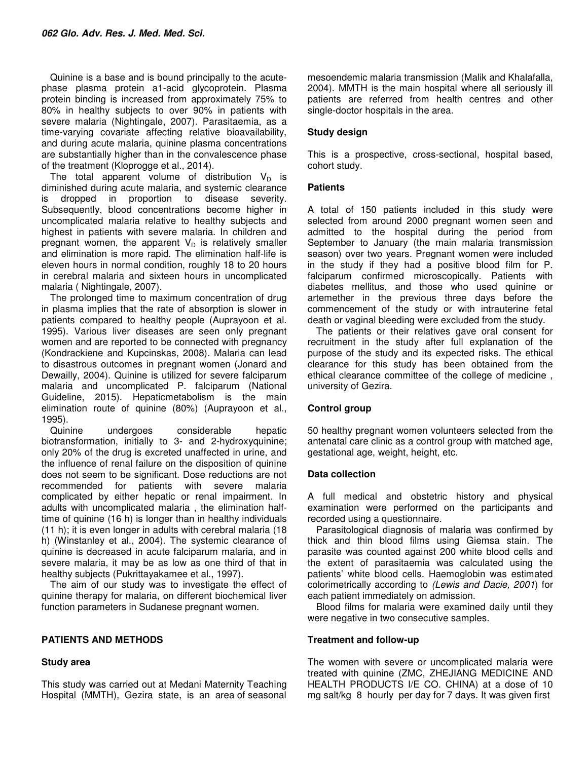Quinine is a base and is bound principally to the acutephase plasma protein a1-acid glycoprotein. Plasma protein binding is increased from approximately 75% to 80% in healthy subjects to over 90% in patients with severe malaria (Nightingale, 2007). Parasitaemia, as a time-varying covariate affecting relative bioavailability, and during acute malaria, quinine plasma concentrations are substantially higher than in the convalescence phase of the treatment (Kloprogge et al., 2014).

The total apparent volume of distribution  $V_D$  is diminished during acute malaria, and systemic clearance is dropped in proportion to disease severity. Subsequently, blood concentrations become higher in uncomplicated malaria relative to healthy subjects and highest in patients with severe malaria. In children and pregnant women, the apparent  $V_D$  is relatively smaller and elimination is more rapid. The elimination half-life is eleven hours in normal condition, roughly 18 to 20 hours in cerebral malaria and sixteen hours in uncomplicated malaria ( Nightingale, 2007).

The prolonged time to maximum concentration of drug in plasma implies that the rate of absorption is slower in patients compared to healthy people (Auprayoon et al. 1995). Various liver diseases are seen only pregnant women and are reported to be connected with pregnancy (Kondrackiene and Kupcinskas, 2008). Malaria can lead to disastrous outcomes in pregnant women (Jonard and Dewailly, 2004). Quinine is utilized for severe falciparum malaria and uncomplicated P. falciparum (National Guideline, 2015). Hepaticmetabolism is the main elimination route of quinine (80%) (Auprayoon et al., 1995).

Quinine undergoes considerable hepatic biotransformation, initially to 3- and 2-hydroxyquinine; only 20% of the drug is excreted unaffected in urine, and the influence of renal failure on the disposition of quinine does not seem to be significant. Dose reductions are not recommended for patients with severe malaria complicated by either hepatic or renal impairment. In adults with uncomplicated malaria , the elimination halftime of quinine (16 h) is longer than in healthy individuals (11 h); it is even longer in adults with cerebral malaria (18 h) (Winstanley et al., 2004). The systemic clearance of quinine is decreased in acute falciparum malaria, and in severe malaria, it may be as low as one third of that in healthy subjects (Pukrittayakamee et al., 1997).

The aim of our study was to investigate the effect of quinine therapy for malaria, on different biochemical liver function parameters in Sudanese pregnant women.

#### **PATIENTS AND METHODS**

#### **Study area**

This study was carried out at Medani Maternity Teaching Hospital (MMTH), Gezira state, is an area of seasonal

mesoendemic malaria transmission (Malik and Khalafalla, 2004). MMTH is the main hospital where all seriously ill patients are referred from health centres and other single-doctor hospitals in the area.

#### **Study design**

This is a prospective, cross-sectional, hospital based, cohort study.

#### **Patients**

A total of 150 patients included in this study were selected from around 2000 pregnant women seen and admitted to the hospital during the period from September to January (the main malaria transmission season) over two years. Pregnant women were included in the study if they had a positive blood film for P. falciparum confirmed microscopically. Patients with diabetes mellitus, and those who used quinine or artemether in the previous three days before the commencement of the study or with intrauterine fetal death or vaginal bleeding were excluded from the study.

The patients or their relatives gave oral consent for recruitment in the study after full explanation of the purpose of the study and its expected risks. The ethical clearance for this study has been obtained from the ethical clearance committee of the college of medicine , university of Gezira.

#### **Control group**

50 healthy pregnant women volunteers selected from the antenatal care clinic as a control group with matched age, gestational age, weight, height, etc.

#### **Data collection**

A full medical and obstetric history and physical examination were performed on the participants and recorded using a questionnaire.

Parasitological diagnosis of malaria was confirmed by thick and thin blood films using Giemsa stain. The parasite was counted against 200 white blood cells and the extent of parasitaemia was calculated using the patients' white blood cells. Haemoglobin was estimated colorimetrically according to (Lewis and Dacie, 2001) for each patient immediately on admission.

Blood films for malaria were examined daily until they were negative in two consecutive samples.

#### **Treatment and follow-up**

The women with severe or uncomplicated malaria were treated with quinine (ZMC, ZHEJIANG MEDICINE AND HEALTH PRODUCTS I/E CO. CHINA) at a dose of 10 mg salt/kg 8 hourly per day for 7 days. It was given first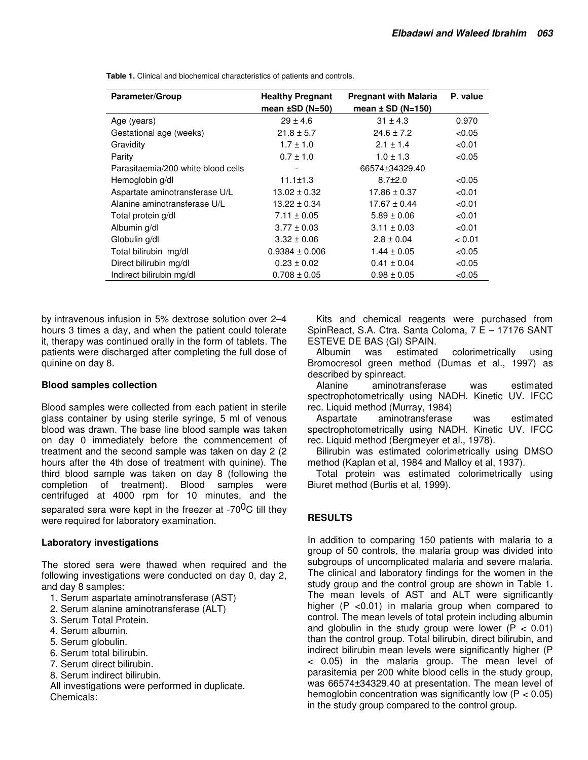| <b>Healthy Pregnant</b> | <b>Pregnant with Malaria</b> | P. value |
|-------------------------|------------------------------|----------|
| mean $\pm$ SD (N=50)    | mean $\pm$ SD (N=150)        |          |
| $29 \pm 4.6$            | $31 \pm 4.3$                 | 0.970    |
| $21.8 \pm 5.7$          | $24.6 \pm 7.2$               | < 0.05   |
| $1.7 \pm 1.0$           | $2.1 \pm 1.4$                | < 0.01   |
| $0.7 \pm 1.0$           | $1.0 \pm 1.3$                | < 0.05   |
|                         | 66574±34329.40               |          |
| $11.1 \pm 1.3$          | $8.7 \pm 2.0$                | < 0.05   |
| $13.02 \pm 0.32$        | $17.86 \pm 0.37$             | < 0.01   |
| $13.22 \pm 0.34$        | $17.67 \pm 0.44$             | < 0.01   |
| $7.11 \pm 0.05$         | $5.89 \pm 0.06$              | < 0.01   |
| $3.77 \pm 0.03$         | $3.11 \pm 0.03$              | < 0.01   |
| $3.32 \pm 0.06$         | $2.8 \pm 0.04$               | < 0.01   |
| $0.9384 \pm 0.006$      | $1.44 \pm 0.05$              | < 0.05   |
| $0.23 \pm 0.02$         | $0.41 \pm 0.04$              | < 0.05   |
| $0.708 \pm 0.05$        | $0.98 \pm 0.05$              | < 0.05   |
|                         |                              |          |

**Table 1.** Clinical and biochemical characteristics of patients and controls.

by intravenous infusion in 5% dextrose solution over 2–4 hours 3 times a day, and when the patient could tolerate it, therapy was continued orally in the form of tablets. The patients were discharged after completing the full dose of quinine on day 8.

### **Blood samples collection**

Blood samples were collected from each patient in sterile glass container by using sterile syringe, 5 ml of venous blood was drawn. The base line blood sample was taken on day 0 immediately before the commencement of treatment and the second sample was taken on day 2 (2 hours after the 4th dose of treatment with quinine). The third blood sample was taken on day 8 (following the completion of treatment). Blood samples were centrifuged at 4000 rpm for 10 minutes, and the separated sera were kept in the freezer at -70 $^{0}$ C till they were required for laboratory examination.

# **Laboratory investigations**

The stored sera were thawed when required and the following investigations were conducted on day 0, day 2, and day 8 samples:

- 1. Serum aspartate aminotransferase (AST)
- 2. Serum alanine aminotransferase (ALT)
- 3. Serum Total Protein.
- 4. Serum albumin.
- 5. Serum globulin.
- 6. Serum total bilirubin.
- 7. Serum direct bilirubin.
- 8. Serum indirect bilirubin.

All investigations were performed in duplicate. Chemicals:

Kits and chemical reagents were purchased from SpinReact, S.A. Ctra. Santa Coloma, 7 E – 17176 SANT ESTEVE DE BAS (GI) SPAIN.

Albumin was estimated colorimetrically using Bromocresol green method (Dumas et al., 1997) as described by spinreact.

Alanine aminotransferase was estimated spectrophotometrically using NADH. Kinetic UV. IFCC rec. Liquid method (Murray, 1984)

Aspartate aminotransferase was estimated spectrophotometrically using NADH. Kinetic UV. IFCC rec. Liquid method (Bergmeyer et al., 1978).

Bilirubin was estimated colorimetrically using DMSO method (Kaplan et al, 1984 and Malloy et al, 1937).

Total protein was estimated colorimetrically using Biuret method (Burtis et al, 1999).

# **RESULTS**

In addition to comparing 150 patients with malaria to a group of 50 controls, the malaria group was divided into subgroups of uncomplicated malaria and severe malaria. The clinical and laboratory findings for the women in the study group and the control group are shown in Table 1. The mean levels of AST and ALT were significantly higher (P <0.01) in malaria group when compared to control. The mean levels of total protein including albumin and globulin in the study group were lower ( $\overline{P}$  < 0.01) than the control group. Total bilirubin, direct bilirubin, and indirect bilirubin mean levels were significantly higher (P < 0.05) in the malaria group. The mean level of parasitemia per 200 white blood cells in the study group, was 66574±34329.40 at presentation. The mean level of hemoglobin concentration was significantly low  $(P < 0.05)$ in the study group compared to the control group.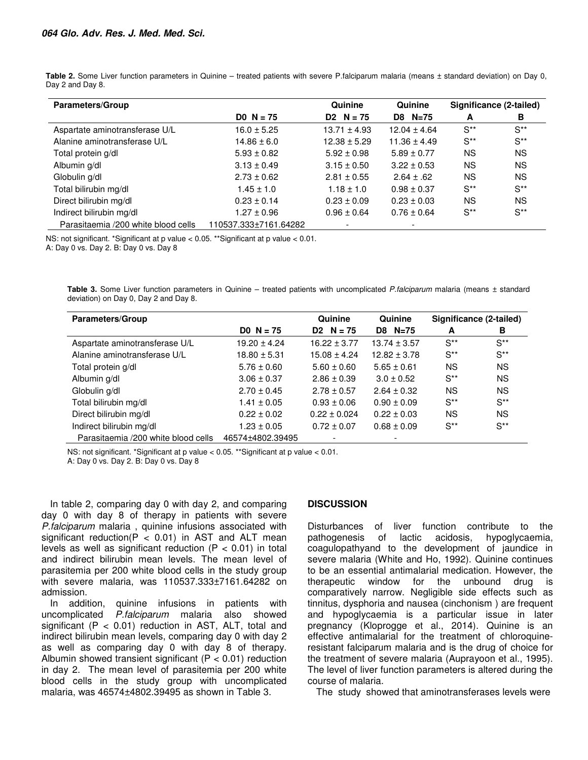| Parameters/Group                    |                       | Quinine           | Quinine          |                  | Significance (2-tailed) |
|-------------------------------------|-----------------------|-------------------|------------------|------------------|-------------------------|
|                                     | DO $N = 75$           | $D2 \quad N = 75$ | D8 N=75          | A                | в                       |
| Aspartate aminotransferase U/L      | $16.0 \pm 5.25$       | $13.71 \pm 4.93$  | $12.04 \pm 4.64$ | $S^{\ast\ast}$   | $S^{\ast\ast}$          |
| Alanine aminotransferase U/L        | $14.86 \pm 6.0$       | $12.38 \pm 5.29$  | $11.36 \pm 4.49$ | $S^{\star\star}$ | $S^{\star\star}$        |
| Total protein g/dl                  | $5.93 \pm 0.82$       | $5.92 \pm 0.98$   | $5.89 \pm 0.77$  | <b>NS</b>        | <b>NS</b>               |
| Albumin g/dl                        | $3.13 \pm 0.49$       | $3.15 \pm 0.50$   | $3.22 \pm 0.53$  | <b>NS</b>        | <b>NS</b>               |
| Globulin g/dl                       | $2.73 \pm 0.62$       | $2.81 \pm 0.55$   | $2.64 \pm .62$   | <b>NS</b>        | <b>NS</b>               |
| Total bilirubin mg/dl               | $1.45 \pm 1.0$        | $1.18 \pm 1.0$    | $0.98 \pm 0.37$  | $S^{**}$         | $S^{**}$                |
| Direct bilirubin mg/dl              | $0.23 \pm 0.14$       | $0.23 \pm 0.09$   | $0.23 \pm 0.03$  | <b>NS</b>        | <b>NS</b>               |
| Indirect bilirubin mg/dl            | $1.27 \pm 0.96$       | $0.96 \pm 0.64$   | $0.76 \pm 0.64$  | $S^{**}$         | $S^{**}$                |
| Parasitaemia /200 white blood cells | 110537.333±7161.64282 |                   |                  |                  |                         |

Table 2. Some Liver function parameters in Quinine – treated patients with severe P.falciparum malaria (means ± standard deviation) on Day 0, Day 2 and Day 8.

NS: not significant. \*Significant at p value < 0.05. \*\*Significant at p value < 0.01. A: Day 0 vs. Day 2. B: Day 0 vs. Day 8

**Table 3.** Some Liver function parameters in Quinine – treated patients with uncomplicated P.falciparum malaria (means ± standard deviation) on Day 0, Day 2 and Day 8.

| <b>Parameters/Group</b>             |                  | Quinine           | Quinine          | Significance (2-tailed) |           |
|-------------------------------------|------------------|-------------------|------------------|-------------------------|-----------|
|                                     | $DO N = 75$      | $D2 \quad N = 75$ | D8 N=75          | A                       | в         |
| Aspartate aminotransferase U/L      | $19.20 \pm 4.24$ | $16.22 \pm 3.77$  | $13.74 \pm 3.57$ | $S^{**}$                | $S^{**}$  |
| Alanine aminotransferase U/L        | $18.80 \pm 5.31$ | $15.08 \pm 4.24$  | $12.82 \pm 3.78$ | $S^{**}$                | $S^{**}$  |
| Total protein g/dl                  | $5.76 \pm 0.60$  | $5.60 \pm 0.60$   | $5.65 \pm 0.61$  | ΝS                      | <b>NS</b> |
| Albumin g/dl                        | $3.06 \pm 0.37$  | $2.86 \pm 0.39$   | $3.0 \pm 0.52$   | $S^{**}$                | <b>NS</b> |
| Globulin g/dl                       | $2.70 \pm 0.45$  | $2.78 \pm 0.57$   | $2.64 \pm 0.32$  | ΝS                      | <b>NS</b> |
| Total bilirubin mg/dl               | $1.41 \pm 0.05$  | $0.93 \pm 0.06$   | $0.90 \pm 0.09$  | $S^{**}$                | $S^{**}$  |
| Direct bilirubin mg/dl              | $0.22 \pm 0.02$  | $0.22 \pm 0.024$  | $0.22 \pm 0.03$  | <b>NS</b>               | <b>NS</b> |
| Indirect bilirubin mg/dl            | $1.23 \pm 0.05$  | $0.72 \pm 0.07$   | $0.68 \pm 0.09$  | $S^{**}$                | $S^{**}$  |
| Parasitaemia /200 white blood cells | 46574±4802.39495 |                   |                  |                         |           |

NS: not significant. \*Significant at p value < 0.05. \*\*Significant at p value < 0.01.

A: Day 0 vs. Day 2. B: Day 0 vs. Day 8

In table 2, comparing day 0 with day 2, and comparing day 0 with day 8 of therapy in patients with severe P.falciparum malaria, quinine infusions associated with significant reduction( $P < 0.01$ ) in AST and ALT mean levels as well as significant reduction ( $P < 0.01$ ) in total and indirect bilirubin mean levels. The mean level of parasitemia per 200 white blood cells in the study group with severe malaria, was 110537.333±7161.64282 on admission.

In addition, quinine infusions in patients with uncomplicated P.falciparum malaria also showed significant ( $P < 0.01$ ) reduction in AST, ALT, total and indirect bilirubin mean levels, comparing day 0 with day 2 as well as comparing day 0 with day 8 of therapy. Albumin showed transient significant ( $P < 0.01$ ) reduction in day 2. The mean level of parasitemia per 200 white blood cells in the study group with uncomplicated malaria, was 46574±4802.39495 as shown in Table 3.

#### **DISCUSSION**

Disturbances of liver function contribute to the pathogenesis of lactic acidosis, hypoglycaemia, coagulopathyand to the development of jaundice in severe malaria (White and Ho, 1992). Quinine continues to be an essential antimalarial medication. However, the therapeutic window for the unbound drug is comparatively narrow. Negligible side effects such as tinnitus, dysphoria and nausea (cinchonism ) are frequent and hypoglycaemia is a particular issue in later pregnancy (Kloprogge et al., 2014). Quinine is an effective antimalarial for the treatment of chloroquineresistant falciparum malaria and is the drug of choice for the treatment of severe malaria (Auprayoon et al., 1995). The level of liver function parameters is altered during the course of malaria.

The study showed that aminotransferases levels were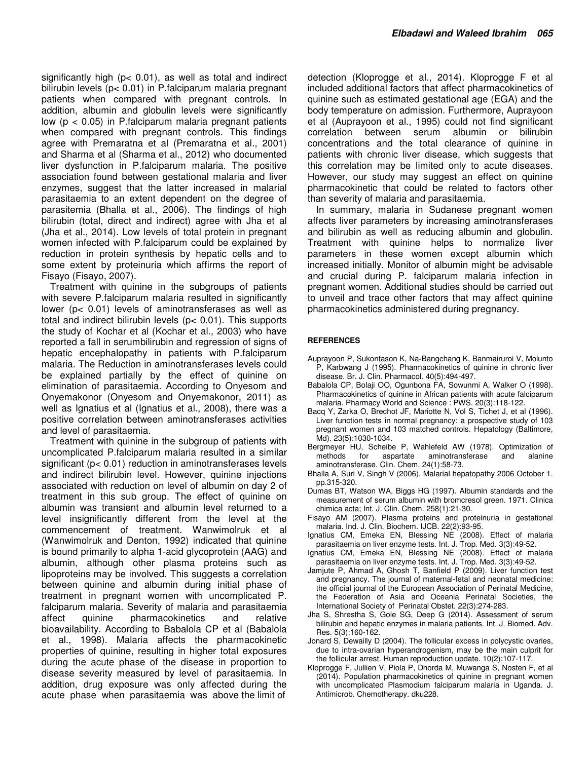significantly high (p< 0.01), as well as total and indirect bilirubin levels (p< 0.01) in P.falciparum malaria pregnant patients when compared with pregnant controls. In addition, albumin and globulin levels were significantly low  $(p < 0.05)$  in P. falciparum malaria pregnant patients when compared with pregnant controls. This findings agree with Premaratna et al (Premaratna et al., 2001) and Sharma et al (Sharma et al., 2012) who documented liver dysfunction in P.falciparum malaria. The positive association found between gestational malaria and liver enzymes, suggest that the latter increased in malarial parasitaemia to an extent dependent on the degree of parasitemia (Bhalla et al., 2006). The findings of high bilirubin (total, direct and indirect) agree with Jha et al (Jha et al., 2014). Low levels of total protein in pregnant women infected with P.falciparum could be explained by reduction in protein synthesis by hepatic cells and to some extent by proteinuria which affirms the report of Fisayo (Fisayo, 2007).

Treatment with quinine in the subgroups of patients with severe P.falciparum malaria resulted in significantly lower (p< 0.01) levels of aminotransferases as well as total and indirect bilirubin levels (p< 0.01). This supports the study of Kochar et al (Kochar et al., 2003) who have reported a fall in serumbilirubin and regression of signs of hepatic encephalopathy in patients with P.falciparum malaria. The Reduction in aminotransferases levels could be explained partially by the effect of quinine on elimination of parasitaemia. According to Onyesom and Onyemakonor (Onyesom and Onyemakonor, 2011) as well as Ignatius et al (Ignatius et al., 2008), there was a positive correlation between aminotransferases activities and level of parasitaemia.

Treatment with quinine in the subgroup of patients with uncomplicated P.falciparum malaria resulted in a similar significant (p< 0.01) reduction in aminotransferases levels and indirect bilirubin level. However, quinine injections associated with reduction on level of albumin on day 2 of treatment in this sub group. The effect of quinine on albumin was transient and albumin level returned to a level insignificantly different from the level at the commencement of treatment. Wanwimolruk et al (Wanwimolruk and Denton, 1992) indicated that quinine is bound primarily to alpha 1-acid glycoprotein (AAG) and albumin, although other plasma proteins such as lipoproteins may be involved. This suggests a correlation between quinine and albumin during initial phase of treatment in pregnant women with uncomplicated P. falciparum malaria. Severity of malaria and parasitaemia affect quinine pharmacokinetics and relative bioavailability. According to Babalola CP et al (Babalola et al., 1998). Malaria affects the pharmacokinetic properties of quinine, resulting in higher total exposures during the acute phase of the disease in proportion to disease severity measured by level of parasitaemia. In addition, drug exposure was only affected during the acute phase when parasitaemia was above the limit of

detection (Kloprogge et al., 2014). Kloprogge F et al included additional factors that affect pharmacokinetics of quinine such as estimated gestational age (EGA) and the body temperature on admission. Furthermore, Auprayoon et al (Auprayoon et al., 1995) could not find significant correlation between serum albumin or bilirubin concentrations and the total clearance of quinine in patients with chronic liver disease, which suggests that this correlation may be limited only to acute diseases. However, our study may suggest an effect on quinine pharmacokinetic that could be related to factors other than severity of malaria and parasitaemia.

In summary, malaria in Sudanese pregnant women affects liver parameters by increasing aminotransferases and bilirubin as well as reducing albumin and globulin. Treatment with quinine helps to normalize liver parameters in these women except albumin which increased initially. Monitor of albumin might be advisable and crucial during P. falciparum malaria infection in pregnant women. Additional studies should be carried out to unveil and trace other factors that may affect quinine pharmacokinetics administered during pregnancy.

#### **REFERENCES**

- Auprayoon P, Sukontason K, Na‐Bangchang K, Banmairuroi V, Molunto P, Karbwang J (1995). Pharmacokinetics of quinine in chronic liver disease. Br. J. Clin. Pharmacol. 40(5):494-497.
- Babalola CP, Bolaji OO, Ogunbona FA, Sowunmi A, Walker O (1998). Pharmacokinetics of quinine in African patients with acute falciparum malaria. Pharmacy World and Science : PWS. 20(3):118-122.
- Bacq Y, Zarka O, Brechot JF, Mariotte N, Vol S, Tichet J, et al (1996). Liver function tests in normal pregnancy: a prospective study of 103 pregnant women and 103 matched controls. Hepatology (Baltimore, Md). 23(5):1030-1034.
- Bergmeyer HU, Scheibe P, Wahlefeld AW (1978). Optimization of methods for aspartate aminotransferase and alanine aminotransferase. Clin. Chem. 24(1):58-73.
- Bhalla A, Suri V, Singh V (2006). Malarial hepatopathy 2006 October 1. pp.315-320.
- Dumas BT, Watson WA, Biggs HG (1997). Albumin standards and the measurement of serum albumin with bromcresol green. 1971. Clinica chimica acta; Int. J. Clin. Chem. 258(1):21-30.
- Fisayo AM (2007). Plasma proteins and proteinuria in gestational malaria. Ind. J. Clin. Biochem. IJCB. 22(2):93-95.
- Ignatius CM, Emeka EN, Blessing NE (2008). Effect of malaria parasitaemia on liver enzyme tests. Int. J. Trop. Med. 3(3):49-52.
- Ignatius CM, Emeka EN, Blessing NE (2008). Effect of malaria parasitaemia on liver enzyme tests. Int. J. Trop. Med. 3(3):49-52.
- Jamjute P, Ahmad A, Ghosh T, Banfield P (2009). Liver function test and pregnancy. The journal of maternal-fetal and neonatal medicine: the official journal of the European Association of Perinatal Medicine, the Federation of Asia and Oceania Perinatal Societies, the International Society of Perinatal Obstet. 22(3):274-283.
- Jha S, Shrestha S, Gole SG, Deep G (2014). Assessment of serum bilirubin and hepatic enzymes in malaria patients. Int. J. Biomed. Adv. Res. 5(3):160-162.
- Jonard S, Dewailly D (2004). The follicular excess in polycystic ovaries, due to intra-ovarian hyperandrogenism, may be the main culprit for the follicular arrest. Human reproduction update. 10(2):107-117.
- Kloprogge F, Jullien V, Piola P, Dhorda M, Muwanga S, Nosten F, et al (2014). Population pharmacokinetics of quinine in pregnant women with uncomplicated Plasmodium falciparum malaria in Uganda. J. Antimicrob. Chemotherapy. dku228.